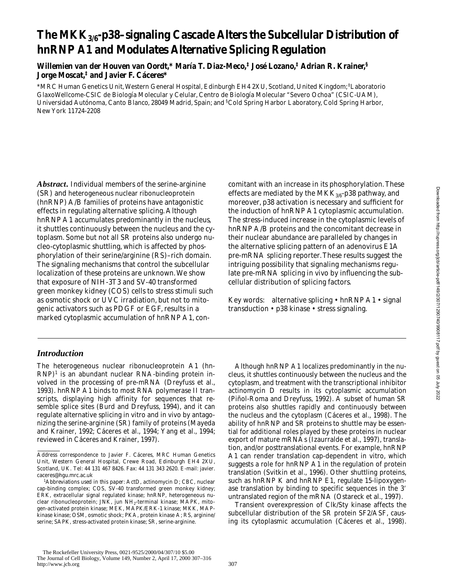# **The MKK3/6-p38–signaling Cascade Alters the Subcellular Distribution of hnRNP A1 and Modulates Alternative Splicing Regulation**

**Willemien van der Houven van Oordt,\* María T. Diaz-Meco,‡ José Lozano,‡ Adrian R. Krainer,§ Jorge Moscat,‡ and Javier F. Cáceres\***

\*MRC Human Genetics Unit, Western General Hospital, Edinburgh EH4 2XU, Scotland, United Kingdom; ‡ Laboratorio GlaxoWellcome-CSIC de Biología Molecular y Celular, Centro de Biología Molecular "Severo Ochoa" (CSIC-UAM), Universidad Autónoma, Canto Blanco, 28049 Madrid, Spain; and <sup>§</sup>Cold Spring Harbor Laboratory, Cold Spring Harbor, New York 11724-2208

*Abstract.* Individual members of the serine-arginine (SR) and heterogeneous nuclear ribonucleoprotein (hnRNP) A/B families of proteins have antagonistic effects in regulating alternative splicing. Although hnRNP A1 accumulates predominantly in the nucleus, it shuttles continuously between the nucleus and the cytoplasm. Some but not all SR proteins also undergo nucleo-cytoplasmic shuttling, which is affected by phosphorylation of their serine/arginine (RS)–rich domain. The signaling mechanisms that control the subcellular localization of these proteins are unknown. We show that exposure of NIH-3T3 and SV-40 transformed green monkey kidney (COS) cells to stress stimuli such as osmotic shock or UVC irradiation, but not to mitogenic activators such as PDGF or EGF, results in a marked cytoplasmic accumulation of hnRNP A1, con-

## *Introduction*

The heterogeneous nuclear ribonucleoprotein A1 (hn- $RNP$ <sup>1</sup> is an abundant nuclear RNA-binding protein involved in the processing of pre-mRNA (Dreyfuss et al., 1993). hnRNP A1 binds to most RNA polymerase II transcripts, displaying high affinity for sequences that resemble splice sites (Burd and Dreyfuss, 1994), and it can regulate alternative splicing in vitro and in vivo by antagonizing the serine-arginine (SR) family of proteins (Mayeda and Krainer, 1992; Cáceres et al., 1994; Yang et al., 1994; reviewed in Cáceres and Krainer, 1997).

comitant with an increase in its phosphorylation. These effects are mediated by the MKK $_{3/6}$ -p38 pathway, and moreover, p38 activation is necessary and sufficient for the induction of hnRNP A1 cytoplasmic accumulation. The stress-induced increase in the cytoplasmic levels of hnRNP A/B proteins and the concomitant decrease in their nuclear abundance are paralleled by changes in the alternative splicing pattern of an adenovirus E1A pre-mRNA splicing reporter. These results suggest the intriguing possibility that signaling mechanisms regulate pre-mRNA splicing in vivo by influencing the subcellular distribution of splicing factors.

Key words: alternative splicing • hnRNP A1 • signal transduction • p38 kinase • stress signaling.

Although hnRNP A1 localizes predominantly in the nucleus, it shuttles continuously between the nucleus and the cytoplasm, and treatment with the transcriptional inhibitor actinomycin D results in its cytoplasmic accumulation (Piñol-Roma and Dreyfuss, 1992). A subset of human SR proteins also shuttles rapidly and continuously between the nucleus and the cytoplasm (Cáceres et al., 1998). The ability of hnRNP and SR proteins to shuttle may be essential for additional roles played by these proteins in nuclear export of mature mRNAs (Izaurralde et al., 1997), translation, and/or posttranslational events. For example, hnRNP A1 can render translation cap-dependent in vitro, which suggests a role for hnRNP A1 in the regulation of protein translation (Svitkin et al., 1996). Other shuttling proteins, such as hnRNP K and hnRNP E1, regulate 15-lipoxygenase translation by binding to specific sequences in the 3' untranslated region of the mRNA (Ostareck et al., 1997).

Transient overexpression of Clk/Sty kinase affects the subcellular distribution of the SR protein SF2/ASF, causing its cytoplasmic accumulation (Cáceres et al., 1998).

Address correspondence to Javier F. Cáceres, MRC Human Genetics Unit, Western General Hospital, Crewe Road, Edinburgh EH4 2XU, Scotland, UK. Tel: 44 131 467 8426. Fax: 44 131 343 2620. E-mail: javier. caceres@hgu.mrc.ac.uk

<sup>1</sup> *Abbreviations used in this paper:* ActD, actinomycin D; CBC, nuclear cap-binding complex; COS, SV-40 transformed green monkey kidney; ERK, extracellular signal regulated kinase; hnRNP, heterogeneous nuclear ribonucleoprotein; JNK, jun NH2-terminal kinase; MAPK, mitogen-activated protein kinase; MEK, MAPK/ERK-1 kinase; MKK, MAPkinase kinase; OSM, osmotic shock; PKA, protein kinase A; RS, arginine/ serine; SAPK, stress-activated protein kinase; SR, serine-arginine.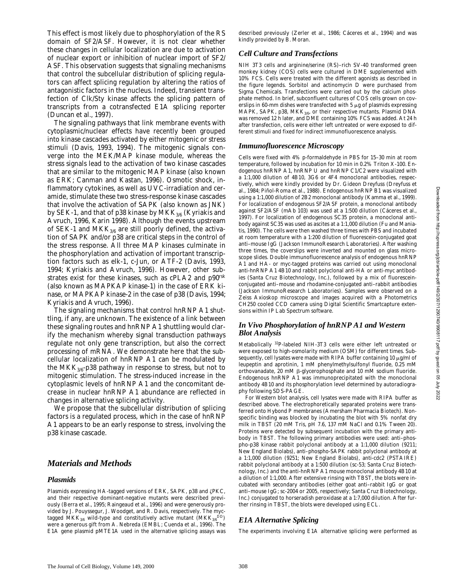This effect is most likely due to phosphorylation of the RS domain of SF2/ASF. However, it is not clear whether these changes in cellular localization are due to activation of nuclear export or inhibition of nuclear import of SF2/ ASF. This observation suggests that signaling mechanisms that control the subcellular distribution of splicing regulators can affect splicing regulation by altering the ratios of antagonistic factors in the nucleus. Indeed, transient transfection of Clk/Sty kinase affects the splicing pattern of transcripts from a cotransfected E1A splicing reporter (Duncan et al., 1997).

The signaling pathways that link membrane events with cytoplasmic/nuclear effects have recently been grouped into kinase cascades activated by either mitogenic or stress stimuli (Davis, 1993, 1994). The mitogenic signals converge into the MEK/MAP kinase module, whereas the stress signals lead to the activation of two kinase cascades that are similar to the mitogenic MAP kinase (also known as ERK; Canman and Kastan, 1996). Osmotic shock, inflammatory cytokines, as well as UVC-irradiation and ceramide, stimulate these two stress-response kinase cascades that involve the activation of SAPK (also known as JNK) by SEK-1, and that of p38 kinase by  $MKK_{3/6}$  (Kyriakis and Avruch, 1996, Karin 1998). Although the events upstream of SEK-1 and  $MKK_{3/6}$  are still poorly defined, the activation of SAPK and/or p38 are critical steps in the control of the stress response. All three MAP kinases culminate in the phosphorylation and activation of important transcription factors such as elk-1, c-Jun, or ATF-2 (Davis, 1993, 1994; Kyriakis and Avruch, 1996). However, other substrates exist for these kinases, such as cPLA2 and p90rsk (also known as MAPKAP kinase-1) in the case of ERK kinase, or MAPKAP kinase-2 in the case of p38 (Davis, 1994; Kyriakis and Avruch, 1996).

The signaling mechanisms that control hnRNP A1 shuttling, if any, are unknown. The existence of a link between these signaling routes and hnRNP A1 shuttling would clarify the mechanism whereby signal transduction pathways regulate not only gene transcription, but also the correct processing of mRNA. We demonstrate here that the subcellular localization of hnRNP A1 can be modulated by the MKK<sub>3/6</sub>-p38 pathway in response to stress, but not to mitogenic stimulation. The stress-induced increase in the cytoplasmic levels of hnRNP A1 and the concomitant decrease in nuclear hnRNP A1 abundance are reflected in changes in alternative splicing activity.

We propose that the subcellular distribution of splicing factors is a regulated process, which in the case of hnRNP A1 appears to be an early response to stress, involving the p38 kinase cascade.

### *Materials and Methods*

#### *Plasmids*

Plasmids expressing HA-tagged versions of ERK, SAPK, p38 and  $\zeta$ PKC, and their respective dominant-negative mutants were described previously (Berra et al., 1995; Raingeaud et al., 1996) and were generously provided by J. Pouyssegur, J. Woodget, and R. Davis, respectively. The myctagged MKK $_{3/6}$  wild-type and constitutively active mutant (MKK $_{3/6}$ DD) were a generous gift from A. Nebreda (EMBL; Cuenda et al., 1996). The E1A gene plasmid pMTE1A used in the alternative splicing assays was described previously (Zerler et al., 1986; Cáceres et al., 1994) and was kindly provided by B. Moran.

#### *Cell Culture and Transfections*

NIH 3T3 cells and arginine/serine (RS)–rich SV-40 transformed green monkey kidney (COS) cells were cultured in DME supplemented with 10% FCS. Cells were treated with the different agonists as described in the figure legends. Sorbitol and actinomycin D were purchased from Sigma Chemicals. Transfections were carried out by the calcium phosphate method. In brief, subconfluent cultures of COS cells grown on coverslips in 60-mm dishes were transfected with 5  $\mu$ g of plasmids expressing MAPK, SAPK, p38, MK $K_{3/6}$ , or their respective mutants. Plasmid DNA was removed 12 h later, and DME containing 10% FCS was added. At 24 h after transfection, cells were either left untreated or were exposed to different stimuli and fixed for indirect immunofluorescence analysis.

#### *Immunofluorescence Microscopy*

Cells were fixed with 4% *p*-formaldehyde in PBS for 15–30 min at room temperature, followed by incubation for 10 min in 0.2% Triton X-100. Endogenous hnRNP A1, hnRNP U and hnRNP C1/C2 were visualized with a 1:1,000 dilution of 4B10, 3G6 or 4F4 monoclonal antibodies, respectively, which were kindly provided by Dr. Gideon Dreyfuss (Dreyfuss et al., 1984; Piñol-Roma et al., 1988). Endogenous hnRNP B1 was visualized using a 1:1,000 dilution of 2B2 monoclonal antibody (Kamma et al., 1999). For localization of endogenous SF2/ASF protein, a monoclonal antibody against SF2/ASF (mAb 103) was used at a 1:500 dilution (Cáceres et al., 1997). For localization of endogenous SC35 protein, a monoclonal antibody against SC35 was used as ascites at a 1:1,000 dilution (Fu and Maniatis, 1990). The cells were then washed three times with PBS and incubated at room temperature with a 1:200 dilution of fluorescein-conjugated goat anti–mouse IgG (Jackson ImmunoResearch Laboratories). After washing three times, the coverslips were inverted and mounted on glass microscope slides. Double immunofluorescence analysis of endogenous hnRNP A1 and HA- or myc-tagged proteins was carried out using monoclonal anti-hnRNP A1 4B10 and rabbit polyclonal anti-HA or anti-myc antibodies (Santa Cruz Biotechnology, Inc.), followed by a mix of fluoresceinconjugated anti–mouse and rhodamine-conjugated anti–rabbit antibodies (Jackson ImmunoResearch Laboratories). Samples were observed on a Zeiss Axioskop microscope and images acquired with a Photometrics CH250 cooled CCD camera using Digital Scientific Smartcapture extensions within IP Lab Spectrum software.

#### *In Vivo Phosphorylation of hnRNP A1 and Western Blot Analysis*

Metabolically 32P-labeled NIH-3T3 cells were either left untreated or were exposed to high-osmolarity medium (OSM) for different times. Subsequently, cell lysates were made with RIPA buffer containing 10  $\mu$ g/ml of leupeptin and aprotinin, 1 mM phenylmethylsulfonyl fluoride, 0.25 mM orthovanadate, 20 mM b-glycerophosphate and 10 mM sodium fluoride. Endogenous hnRNP A1 was immunoprecipitated with the monoclonal antibody 4B10 and its phosphorylation level determined by autoradiography following SDS-PAGE.

For Western blot analysis, cell lysates were made with RIPA buffer as described above. The electrophoretically separated proteins were transferred onto Hybond *P* membranes (Amersham Pharmacia Biotech). Nonspecific binding was blocked by incubating the blot with 5% nonfat dry milk in TBST (20 mM Tris, pH 7.6, 137 mM NaCl and 0.1% Tween 20). Proteins were detected by subsequent incubation with the primary antibody in TBST. The following primary antibodies were used: anti–phospho-p38 kinase rabbit polyclonal antibody at a 1:1,000 dilution (9211; New England Biolabs), anti–phospho-SAPK rabbit polyclonal antibody at a 1:1,000 dilution (9251; New England Biolabs), anti-cdc2 (PSTAIRE) rabbit polyclonal antibody at a 1:500 dilution (sc-53; Santa Cruz Biotechnology, Inc.) and the anti-hnRNP A1 mouse monoclonal antibody 4B10 at a dilution of 1:1,000. After extensive rinsing with TBST, the blots were incubated with secondary antibodies (either goat anti–rabbit IgG or goat anti–mouse IgG; sc-2004 or 2005, respectively; Santa Cruz Biotechnology, Inc.) conjugated to horseradish peroxidase at a 1:7,000 dilution. After further rinsing in TBST, the blots were developed using ECL.

## *E1A Alternative Splicing*

The experiments involving E1A alternative splicing were performed as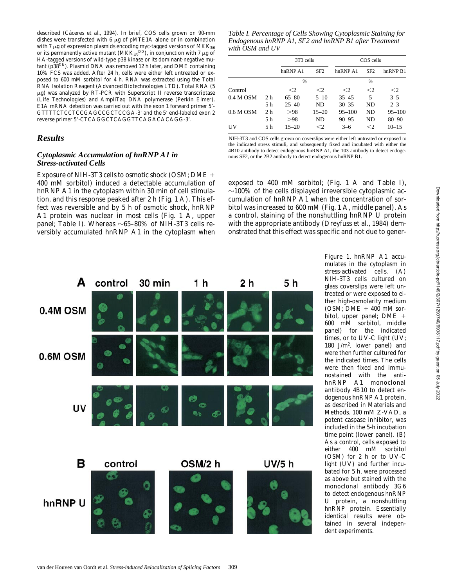described (Cáceres et al., 1994). In brief, COS cells grown on 90-mm dishes were transfected with 6  $\mu$ g of pMTE1A alone or in combination with 7  $\mu$ g of expression plasmids encoding myc-tagged versions of MKK<sub>3/6</sub> or its permanently active mutant (MKK<sub>3/6</sub>DD), in conjunction with 7  $\mu$ g of HA-tagged versions of wild-type p38 kinase or its dominant-negative mutant (p38DN). Plasmid DNA was removed 12 h later, and DME containing 10% FCS was added. After 24 h, cells were either left untreated or exposed to 600 mM sorbitol for 4 h. RNA was extracted using the Total RNA Isolation Reagent (Advanced Biotechnologies LTD). Total RNA (5  $\mu$ g) was analyzed by RT-PCR with Superscript II reverse transcriptase (Life Technologies) and AmpliTaq DNA polymerase (Perkin Elmer). E1A mRNA detection was carried out with the exon 1 forward primer 5'-GTTTTCTCCTCCGAGCCGCTCCGA-3' and the 5' end-labeled exon 2 reverse primer 5'-CTCAGGCTCAGGTTCAGACACAGG-3'.

## *Results*

#### *Cytoplasmic Accumulation of hnRNP A1 in Stress-activated Cells*

Exposure of NIH-3T3 cells to osmotic shock (OSM; DME 1 400 mM sorbitol) induced a detectable accumulation of hnRNP A1 in the cytoplasm within 30 min of cell stimulation, and this response peaked after 2 h (Fig. 1 A). This effect was reversible and by 5 h of osmotic shock, hnRNP A1 protein was nuclear in most cells (Fig. 1 A, upper panel; Table I). Whereas  $\sim 65-80\%$  of NIH-3T3 cells reversibly accumulated hnRNP A1 in the cytoplasm when

*Table I. Percentage of Cells Showing Cytoplasmic Staining for Endogenous hnRNP A1, SF2 and hnRNP B1 after Treatment with OSM and UV*

|             |                | 3T3 cells   |                 | COS cells  |          |            |
|-------------|----------------|-------------|-----------------|------------|----------|------------|
|             |                | h n R NP A1 | SF <sub>2</sub> | hnRNPA1    | SF2      | hnRNPB1    |
|             |                | $\%$        |                 | $\%$       |          |            |
| Control     |                | $\leq$ 2    | $<$ 2           | $\leq$ 2   | $\leq$ 2 | $\leq$ 2   |
| $0.4 M$ OSM | 2 <sub>h</sub> | $65 - 80$   | $5 - 10$        | $35 - 45$  | 5        | $3 - 5$    |
|             | 5 h            | $25 - 40$   | ND              | $30 - 35$  | ND       | $2 - 3$    |
| $0.6 M$ OSM | 2 <sub>h</sub> | >98         | $15 - 20$       | $95 - 100$ | ND.      | $95 - 100$ |
|             | 5 h            | > 98        | <b>ND</b>       | $90 - 95$  | ND       | $80 - 90$  |
| UV          | 5 h            | $15 - 20$   | $<$ 2           | $3-6$      | $\leq$ 2 | $10 - 15$  |

NIH-3T3 and COS cells grown on coverslips were either left untreated or exposed to the indicated stress stimuli, and subsequently fixed and incubated with either the 4B10 antibody to detect endogenous hnRNP A1, the 103 antibody to detect endogenous SF2, or the 2B2 antibody to detect endogenous hnRNP B1.

exposed to 400 mM sorbitol; (Fig. 1 A and Table I),  $\sim$ 100% of the cells displayed irreversible cytoplasmic accumulation of hnRNP A1 when the concentration of sorbitol was increased to 600 mM (Fig. 1 A, middle panel). As a control, staining of the nonshuttling hnRNP U protein with the appropriate antibody (Dreyfuss et al., 1984) demonstrated that this effect was specific and not due to gener-



*Figure 1*. hnRNP A1 accumulates in the cytoplasm in stress-activated cells. (A) NIH-3T3 cells cultured on glass coverslips were left untreated or were exposed to either high-osmolarity medium (OSM;  $DME + 400$  mM sorbitol, upper panel; DME + 600 mM sorbitol, middle panel) for the indicated times, or to UV-C light (UV; 180 J/m<sup>2</sup> , lower panel) and were then further cultured for the indicated times. The cells were then fixed and immunostained with the antihnRNP A1 monoclonal antibody 4B10 to detect endogenous hnRNP A1 protein, as described in Materials and Methods. 100 mM Z-VAD, a potent caspase inhibitor, was included in the 5-h incubation time point (lower panel). (B) As a control, cells exposed to either 400 mM sorbitol (OSM) for 2 h or to UV-C light (UV) and further incubated for 5 h, were processed as above but stained with the monoclonal antibody 3G6 to detect endogenous hnRNP U protein, a nonshuttling hnRNP protein. Essentially identical results were obtained in several independent experiments.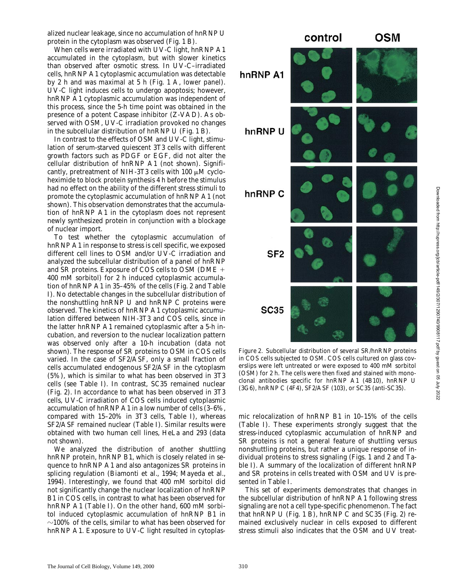alized nuclear leakage, since no accumulation of hnRNP U protein in the cytoplasm was observed (Fig. 1 B).

When cells were irradiated with UV-C light, hnRNP A1 accumulated in the cytoplasm, but with slower kinetics than observed after osmotic stress. In UV-C–irradiated cells, hnRNP A1 cytoplasmic accumulation was detectable by 2 h and was maximal at 5 h (Fig. 1 A, lower panel). UV-C light induces cells to undergo apoptosis; however, hnRNP A1 cytoplasmic accumulation was independent of this process, since the 5-h time point was obtained in the presence of a potent Caspase inhibitor (Z-VAD). As observed with OSM, UV-C irradiation provoked no changes in the subcellular distribution of hnRNP U (Fig. 1 B).

In contrast to the effects of OSM and UV-C light, stimulation of serum-starved quiescent 3T3 cells with different growth factors such as PDGF or EGF, did not alter the cellular distribution of hnRNP A1 (not shown). Significantly, pretreatment of NIH-3T3 cells with  $100 \mu M$  cycloheximide to block protein synthesis 4 h before the stimulus had no effect on the ability of the different stress stimuli to promote the cytoplasmic accumulation of hnRNP A1 (not shown). This observation demonstrates that the accumulation of hnRNP A1 in the cytoplasm does not represent newly synthesized protein in conjunction with a blockage of nuclear import.

To test whether the cytoplasmic accumulation of hnRNP A1 in response to stress is cell specific, we exposed different cell lines to OSM and/or UV-C irradiation and analyzed the subcellular distribution of a panel of hnRNP and SR proteins. Exposure of COS cells to OSM (DME 1 400 mM sorbitol) for 2 h induced cytoplasmic accumulation of hnRNP A1 in 35–45% of the cells (Fig. 2 and Table I). No detectable changes in the subcellular distribution of the nonshuttling hnRNP U and hnRNP C proteins were observed. The kinetics of hnRNP A1 cytoplasmic accumulation differed between NIH-3T3 and COS cells, since in the latter hnRNP A1 remained cytoplasmic after a 5-h incubation, and reversion to the nuclear localization pattern was observed only after a 10-h incubation (data not shown). The response of SR proteins to OSM in COS cells varied. In the case of SF2/ASF, only a small fraction of cells accumulated endogenous SF2/ASF in the cytoplasm (5%), which is similar to what has been observed in 3T3 cells (see Table I). In contrast, SC35 remained nuclear (Fig. 2). In accordance to what has been observed in 3T3 cells, UV-C irradiation of COS cells induced cytoplasmic accumulation of hnRNP A1 in a low number of cells (3–6%, compared with 15–20% in 3T3 cells, Table I), whereas SF2/ASF remained nuclear (Table I). Similar results were obtained with two human cell lines, HeLa and 293 (data not shown).

We analyzed the distribution of another shuttling hnRNP protein, hnRNP B1, which is closely related in sequence to hnRNP A1 and also antagonizes SR proteins in splicing regulation (Biamonti et al., 1994; Mayeda et al., 1994). Interestingly, we found that 400 mM sorbitol did not significantly change the nuclear localization of hnRNP B1 in COS cells, in contrast to what has been observed for hnRNP A1 (Table I). On the other hand, 600 mM sorbitol induced cytoplasmic accumulation of hnRNP B1 in  $\sim$ 100% of the cells, similar to what has been observed for hnRNP A1. Exposure to UV-C light resulted in cytoplas-



*Figure 2*. Subcellular distribution of several SR/hnRNP proteins in COS cells subjected to OSM. COS cells cultured on glass coverslips were left untreated or were exposed to 400 mM sorbitol (OSM) for 2 h. The cells were then fixed and stained with monoclonal antibodies specific for hnRNP A1 (4B10), hnRNP U (3G6), hnRNP C (4F4), SF2/ASF (103), or SC35 (anti-SC35).

mic relocalization of hnRNP B1 in 10–15% of the cells (Table I). These experiments strongly suggest that the stress-induced cytoplasmic accumulation of hnRNP and SR proteins is not a general feature of shuttling versus nonshuttling proteins, but rather a unique response of individual proteins to stress signaling (Figs. 1 and 2 and Table I). A summary of the localization of different hnRNP and SR proteins in cells treated with OSM and UV is presented in Table I.

This set of experiments demonstrates that changes in the subcellular distribution of hnRNP A1 following stress signaling are not a cell type-specific phenomenon. The fact that hnRNP U (Fig. 1 B), hnRNP C and SC35 (Fig. 2) remained exclusively nuclear in cells exposed to different stress stimuli also indicates that the OSM and UV treat-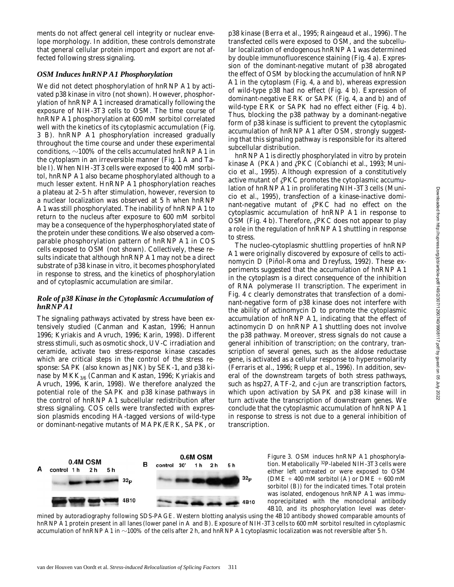ments do not affect general cell integrity or nuclear envelope morphology. In addition, these controls demonstrate that general cellular protein import and export are not affected following stress signaling.

#### *OSM Induces hnRNP A1 Phosphorylation*

We did not detect phosphorylation of hnRNP A1 by activated p38 kinase in vitro (not shown). However, phosphorylation of hnRNP A1 increased dramatically following the exposure of NIH-3T3 cells to OSM. The time course of hnRNP A1 phosphorylation at 600 mM sorbitol correlated well with the kinetics of its cytoplasmic accumulation (Fig. 3 B). hnRNP A1 phosphorylation increased gradually throughout the time course and under these experimental conditions,  $\sim$ 100% of the cells accumulated hnRNP A1 in the cytoplasm in an irreversible manner (Fig. 1 A and Table I). When NIH-3T3 cells were exposed to 400 mM sorbitol, hnRNP A1 also became phosphorylated although to a much lesser extent. HnRNP A1 phosphorylation reaches a plateau at 2–5 h after stimulation, however, reversion to a nuclear localization was observed at 5 h when hnRNP A1 was still phosphorylated. The inability of hnRNP A1 to return to the nucleus after exposure to 600 mM sorbitol may be a consequence of the hyperphosphorylated state of the protein under these conditions. We also observed a comparable phosphorylation pattern of hnRNP A1 in COS cells exposed to OSM (not shown). Collectively, these results indicate that although hnRNP A1 may not be a direct substrate of p38 kinase in vitro, it becomes phosphorylated in response to stress, and the kinetics of phosphorylation and of cytoplasmic accumulation are similar.

#### *Role of p38 Kinase in the Cytoplasmic Accumulation of hnRNP A1*

The signaling pathways activated by stress have been extensively studied (Canman and Kastan, 1996; Hannun 1996; Kyriakis and Avruch, 1996; Karin, 1998). Different stress stimuli, such as osmotic shock, UV-C irradiation and ceramide, activate two stress-response kinase cascades which are critical steps in the control of the stress response: SAPK (also known as JNK) by SEK-1, and p38 kinase by MKK<sub>3/6</sub> (Canman and Kastan, 1996; Kyriakis and Avruch, 1996, Karin, 1998). We therefore analyzed the potential role of the SAPK and p38 kinase pathways in the control of hnRNP A1 subcellular redistribution after stress signaling. COS cells were transfected with expression plasmids encoding HA-tagged versions of wild-type or dominant-negative mutants of MAPK/ERK, SAPK, or p38 kinase (Berra et al., 1995; Raingeaud et al., 1996). The transfected cells were exposed to OSM, and the subcellular localization of endogenous hnRNP A1 was determined by double immunofluorescence staining (Fig. 4 a). Expression of the dominant-negative mutant of p38 abrogated the effect of OSM by blocking the accumulation of hnRNP A1 in the cytoplasm (Fig. 4, a and b), whereas expression of wild-type p38 had no effect (Fig. 4 b). Expression of dominant-negative ERK or SAPK (Fig. 4, a and b) and of wild-type ERK or SAPK had no effect either (Fig. 4 b). Thus, blocking the p38 pathway by a dominant-negative form of p38 kinase is sufficient to prevent the cytoplasmic accumulation of hnRNP A1 after OSM, strongly suggesting that this signaling pathway is responsible for its altered subcellular distribution.

hnRNP A1 is directly phosphorylated in vitro by protein kinase A (PKA) and  $\angle$ PKC (Cobianchi et al., 1993; Municio et al., 1995). Although expression of a constitutively active mutant of  $\zeta$ PKC promotes the cytoplasmic accumulation of hnRNP A1 in proliferating NIH-3T3 cells (Municio et al., 1995), transfection of a kinase-inactive dominant-negative mutant of  $\zeta$ PKC had no effect on the cytoplasmic accumulation of hnRNP A1 in response to OSM (Fig. 4 b). Therefore,  $\angle$ PKC does not appear to play a role in the regulation of hnRNP A1 shuttling in response to stress.

The nucleo-cytoplasmic shuttling properties of hnRNP A1 were originally discovered by exposure of cells to actinomycin D (Piñol-Roma and Dreyfuss, 1992). These experiments suggested that the accumulation of hnRNP A1 in the cytoplasm is a direct consequence of the inhibition of RNA polymerase II transcription. The experiment in Fig. 4 c clearly demonstrates that transfection of a dominant-negative form of p38 kinase does not interfere with the ability of actinomycin D to promote the cytoplasmic accumulation of hnRNP A1, indicating that the effect of actinomycin D on hnRNP A1 shuttling does not involve the p38 pathway. Moreover, stress signals do not cause a general inhibition of transcription; on the contrary, transcription of several genes, such as the aldose reductase gene, is activated as a cellular response to hyperosmolarity (Ferraris et al., 1996; Ruepp et al., 1996). In addition, several of the downstream targets of both stress pathways, such as hsp27, ATF-2, and c-jun are transcription factors, which upon activation by SAPK and p38 kinase will in turn activate the transcription of downstream genes. We conclude that the cytoplasmic accumulation of hnRNP A1 in response to stress is not due to a general inhibition of transcription.



*Figure 3*. OSM induces hnRNP A1 phosphorylation. Metabolically 32P-labeled NIH-3T3 cells were either left untreated or were exposed to OSM (DME  $+$  400 mM sorbitol (A) or DME  $+$  600 mM sorbitol (B)) for the indicated times. Total protein was isolated, endogenous hnRNP A1 was immunoprecipitated with the monoclonal antibody 4B10, and its phosphorylation level was deter-

mined by autoradiography following SDS-PAGE. Western blotting analysis using the 4B10 antibody showed comparable amounts of hnRNP A1 protein present in all lanes (lower panel in A and B). Exposure of NIH-3T3 cells to 600 mM sorbitol resulted in cytoplasmic accumulation of hnRNP A1 in  $\sim$ 100% of the cells after 2 h, and hnRNP A1 cytoplasmic localization was not reversible after 5 h.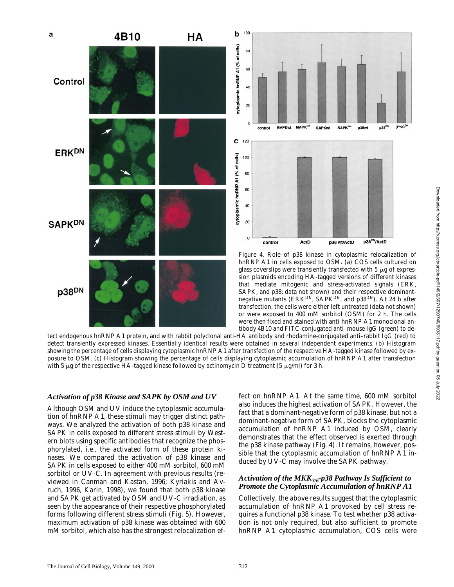



*Figure 4*. Role of p38 kinase in cytoplasmic relocalization of hnRNP A1 in cells exposed to OSM. (a) COS cells cultured on glass coverslips were transiently transfected with  $5 \mu$ g of expression plasmids encoding HA-tagged versions of different kinases that mediate mitogenic and stress-activated signals (ERK, SAPK, and p38; data not shown) and their respective dominantnegative mutants (ERK<sup>DN</sup>, SAPK<sup>DN</sup>, and p38<sup>DN</sup>). At 24 h after transfection, the cells were either left untreated (data not shown) or were exposed to 400 mM sorbitol (OSM) for 2 h. The cells were then fixed and stained with anti-hnRNP A1 monoclonal antibody 4B10 and FITC-conjugated anti–mouse IgG (green) to de-

tect endogenous hnRNP A1 protein, and with rabbit polyclonal anti-HA antibody and rhodamine-conjugated anti–rabbit IgG (red) to detect transiently expressed kinases. Essentially identical results were obtained in several independent experiments. (b) Histogram showing the percentage of cells displaying cytoplasmic hnRNP A1 after transfection of the respective HA-tagged kinase followed by exposure to OSM. (c) Histogram showing the percentage of cells displaying cytoplasmic accumulation of hnRNP A1 after transfection with 5  $\mu$ g of the respective HA-tagged kinase followed by actinomycin D treatment (5  $\mu$ g/ml) for 3 h.

#### *Activation of p38 Kinase and SAPK by OSM and UV*

Although OSM and UV induce the cytoplasmic accumulation of hnRNP A1, these stimuli may trigger distinct pathways. We analyzed the activation of both p38 kinase and SAPK in cells exposed to different stress stimuli by Western blots using specific antibodies that recognize the phosphorylated, i.e., the activated form of these protein kinases. We compared the activation of p38 kinase and SAPK in cells exposed to either 400 mM sorbitol, 600 mM sorbitol or UV-C. In agreement with previous results (reviewed in Canman and Kastan, 1996; Kyriakis and Avruch, 1996, Karin, 1998), we found that both p38 kinase and SAPK get activated by OSM and UV-C irradiation, as seen by the appearance of their respective phosphorylated forms following different stress stimuli (Fig. 5). However, maximum activation of p38 kinase was obtained with 600 mM sorbitol, which also has the strongest relocalization effect on hnRNP A1. At the same time, 600 mM sorbitol also induces the highest activation of SAPK. However, the fact that a dominant-negative form of p38 kinase, but not a dominant-negative form of SAPK, blocks the cytoplasmic accumulation of hnRNP A1 induced by OSM, clearly demonstrates that the effect observed is exerted through the p38 kinase pathway (Fig. 4). It remains, however, possible that the cytoplasmic accumulation of hnRNP A1 induced by UV-C may involve the SAPK pathway.

#### *Activation of the MKK3/6-p38 Pathway Is Sufficient to Promote the Cytoplasmic Accumulation of hnRNP A1*

Collectively, the above results suggest that the cytoplasmic accumulation of hnRNP A1 provoked by cell stress requires a functional p38 kinase. To test whether p38 activation is not only required, but also sufficient to promote hnRNP A1 cytoplasmic accumulation, COS cells were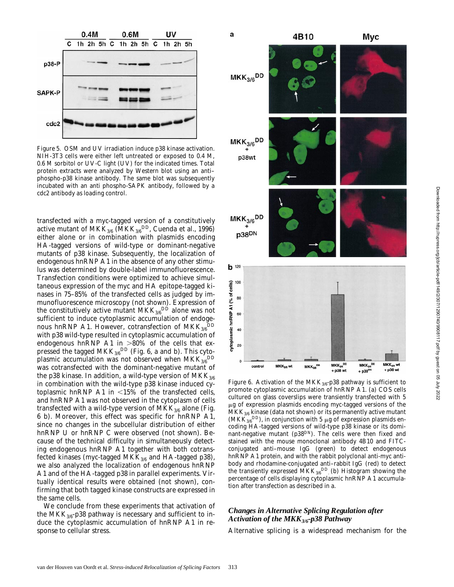

*Figure 5*. OSM and UV irradiation induce p38 kinase activation. NIH-3T3 cells were either left untreated or exposed to 0.4 M, 0.6 M sorbitol or UV-C light (UV) for the indicated times. Total protein extracts were analyzed by Western blot using an anti– phospho-p38 kinase antibody. The same blot was subsequently incubated with an anti phospho-SAPK antibody, followed by a cdc2 antibody as loading control.

transfected with a myc-tagged version of a constitutively active mutant of  $\mathrm{MKK}_{3/6}$  ( $\mathrm{MKK}_{3/6}$ <sup>DD</sup>, Cuenda et al., 1996) either alone or in combination with plasmids encoding HA-tagged versions of wild-type or dominant-negative mutants of p38 kinase. Subsequently, the localization of endogenous hnRNP A1 in the absence of any other stimulus was determined by double-label immunofluorescence. Transfection conditions were optimized to achieve simultaneous expression of the myc and HA epitope-tagged kinases in 75–85% of the transfected cells as judged by immunofluorescence microscopy (not shown). Expression of the constitutively active mutant  $\mathrm{MKK}_{3/6}{}^{\mathrm{DD}}$  alone was not sufficient to induce cytoplasmic accumulation of endogenous hn $\mathsf{RNP}$  A1. However, cotransfection of  $\mathsf{MKK}_{3/6}{}^{\rm DD}$ with p38 wild-type resulted in cytoplasmic accumulation of endogenous hnRNP A1 in  $>80\%$  of the cells that expressed the tagged MKK $_{3/6}^{\rm DD}$  (Fig. 6, a and b). This cytoplasmic accumulation was not observed when  $\text{MKK}_{3/6}^{\text{DD}}$ was cotransfected with the dominant-negative mutant of the p38 kinase. In addition, a wild-type version of  $MKK_{3/6}$ in combination with the wild-type p38 kinase induced cytoplasmic hnRNP A1 in  $<15\%$  of the transfected cells, and hnRNP A1 was not observed in the cytoplasm of cells transfected with a wild-type version of  $MKK_{3/6}$  alone (Fig. 6 b). Moreover, this effect was specific for hnRNP A1, since no changes in the subcellular distribution of either hnRNP U or hnRNP C were observed (not shown). Because of the technical difficulty in simultaneously detecting endogenous hnRNP A1 together with both cotransfected kinases (myc-tagged MK $K_{3/6}$  and HA-tagged p38), we also analyzed the localization of endogenous hnRNP A1 and of the HA-tagged p38 in parallel experiments. Virtually identical results were obtained (not shown), confirming that both tagged kinase constructs are expressed in the same cells.

We conclude from these experiments that activation of the MKK<sub>3/6</sub>-p38 pathway is necessary and sufficient to induce the cytoplasmic accumulation of hnRNP A1 in response to cellular stress.



*Figure 6*. Activation of the MKK<sub>3/6</sub>-p38 pathway is sufficient to promote cytoplasmic accumulation of hnRNP A1. (a) COS cells cultured on glass coverslips were transiently transfected with 5  $\mu$ g of expression plasmids encoding myc-tagged versions of the  $MKK_{3/6}$  kinase (data not shown) or its permanently active mutant (MKK<sub>3/6</sub>DD), in conjunction with 5  $\mu$ g of expression plasmids encoding HA-tagged versions of wild-type p38 kinase or its dominant-negative mutant ( $p38^{DN}$ ). The cells were then fixed and stained with the mouse monoclonal antibody 4B10 and FITCconjugated anti–mouse IgG (green) to detect endogenous hnRNP A1 protein, and with the rabbit polyclonal anti-myc antibody and rhodamine-conjugated anti–rabbit IgG (red) to detect the transiently expressed MKK $_{3/6}^{DD}$  (b) Histogram showing the percentage of cells displaying cytoplasmic hnRNP A1 accumulation after transfection as described in a.

#### *Changes in Alternative Splicing Regulation after Activation of the MKK3/6-p38 Pathway*

Alternative splicing is a widespread mechanism for the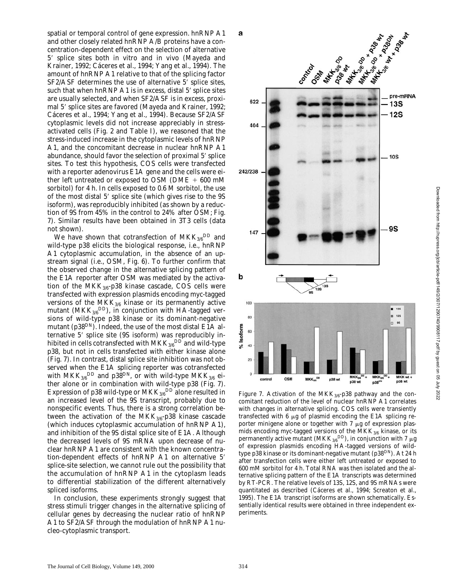spatial or temporal control of gene expression. hnRNP A1 and other closely related hnRNP A/B proteins have a concentration-dependent effect on the selection of alternative 5' splice sites both in vitro and in vivo (Mayeda and Krainer, 1992; Cáceres et al., 1994; Yang et al., 1994). The amount of hnRNP A1 relative to that of the splicing factor  $SF2/ASF$  determines the use of alternative  $5'$  splice sites, such that when hnRNP A1 is in excess, distal 5' splice sites are usually selected, and when SF2/ASF is in excess, proximal 5' splice sites are favored (Mayeda and Krainer, 1992; Cáceres et al., 1994; Yang et al., 1994). Because SF2/ASF cytoplasmic levels did not increase appreciably in stressactivated cells (Fig. 2 and Table I), we reasoned that the stress-induced increase in the cytoplasmic levels of hnRNP A1, and the concomitant decrease in nuclear hnRNP A1 abundance, should favor the selection of proximal 5' splice sites. To test this hypothesis, COS cells were transfected with a reporter adenovirus E1A gene and the cells were either left untreated or exposed to OSM ( $\text{DME} + 600 \text{ mM}$ sorbitol) for 4 h. In cells exposed to 0.6 M sorbitol, the use of the most distal 5' splice site (which gives rise to the 9S isoform), was reproducibly inhibited (as shown by a reduction of 9S from 45% in the control to 24% after OSM; Fig. 7). Similar results have been obtained in 3T3 cells (data not shown).

We have shown that cotransfection of  $MKK_{3/6}^{\text{DD}}$  and wild-type p38 elicits the biological response, i.e., hnRNP A1 cytoplasmic accumulation, in the absence of an upstream signal (i.e., OSM, Fig. 6). To further confirm that the observed change in the alternative splicing pattern of the E1A reporter after OSM was mediated by the activation of the  $MKK_{3/6}$ -p38 kinase cascade, COS cells were transfected with expression plasmids encoding myc-tagged versions of the  $MKK_{3/6}$  kinase or its permanently active mutant (MK $\rm{K_{3/6}}^{\rm{DD}}$ ), in conjunction with HA-tagged versions of wild-type p38 kinase or its dominant-negative mutant (p38<sup>DN</sup>). Indeed, the use of the most distal  $EIA$  alternative 5' splice site (9S isoform) was reproducibly inhibited in cells cotransfected with  $\mathrm{MKK}_{3/6}{}^{\rm DD}$  and wild-type p38, but not in cells transfected with either kinase alone (Fig. 7). In contrast, distal splice site inhibition was not observed when the E1A splicing reporter was cotransfected with  $\mathrm{MKK}_{3/6}{}^{\mathrm{DD}}$  and p38 $^{\mathrm{DN}}$ , or with wild-type  $\mathrm{MKK}_{3/6}$  either alone or in combination with wild-type p38 (Fig. 7). Expression of p38 wild-type or  $\mathrm{MKK}_{3/6}^{\mathrm{DD}}$  alone resulted in an increased level of the 9S transcript, probably due to nonspecific events. Thus, there is a strong correlation between the activation of the MKK $_{3/6}$ -p38 kinase cascade (which induces cytoplasmic accumulation of hnRNP A1), and inhibition of the 9S distal splice site of E1A. Although the decreased levels of 9S mRNA upon decrease of nuclear hnRNP A1 are consistent with the known concentration-dependent effects of hnRNP A1 on alternative 5' splice-site selection, we cannot rule out the possibility that the accumulation of hnRNP A1 in the cytoplasm leads to differential stabilization of the different alternatively spliced isoforms.

In conclusion, these experiments strongly suggest that stress stimuli trigger changes in the alternative splicing of cellular genes by decreasing the nuclear ratio of hnRNP A1 to SF2/ASF through the modulation of hnRNP A1 nucleo-cytoplasmic transport.



*Figure 7.* Activation of the  $MKK_{3/6}$ -p38 pathway and the concomitant reduction of the level of nuclear hnRNP A1 correlates with changes in alternative splicing. COS cells were transiently transfected with  $6 \mu g$  of plasmid encoding the E1A splicing reporter minigene alone or together with  $7\ \mu g$  of expression plasmids encoding myc-tagged versions of the  $MKK_{3/6}$  kinase, or its permanently active mutant (MKK $_{3/6}$ <sup>DD</sup>), in conjunction with 7  $\mu$ g of expression plasmids encoding HA-tagged versions of wildtype p38 kinase or its dominant-negative mutant (p38 $^{\rm{DN}}$ ). At 24 h after transfection cells were either left untreated or exposed to 600 mM sorbitol for 4 h. Total RNA was then isolated and the alternative splicing pattern of the E1A transcripts was determined by RT-PCR. The relative levels of 13S, 12S, and 9S mRNAs were quantitated as described (Cáceres et al., 1994; Screaton et al., 1995). The E1A transcript isoforms are shown schematically. Essentially identical results were obtained in three independent experiments.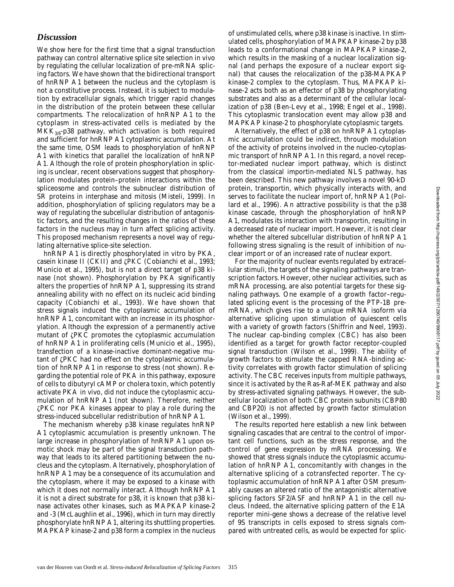## *Discussion*

We show here for the first time that a signal transduction pathway can control alternative splice site selection in vivo by regulating the cellular localization of pre-mRNA splicing factors. We have shown that the bidirectional transport of hnRNP A1 between the nucleus and the cytoplasm is not a constitutive process. Instead, it is subject to modulation by extracellular signals, which trigger rapid changes in the distribution of the protein between these cellular compartments. The relocalization of hnRNP A1 to the cytoplasm in stress-activated cells is mediated by the  $MKK_{3/6}$ -p38 pathway, which activation is both required and sufficient for hnRNP A1 cytoplasmic accumulation. At the same time, OSM leads to phosphorylation of hnRNP A1 with kinetics that parallel the localization of hnRNP A1. Although the role of protein phosphorylation in splicing is unclear, recent observations suggest that phosphorylation modulates protein–protein interactions within the spliceosome and controls the subnuclear distribution of SR proteins in interphase and mitosis (Misteli, 1999). In addition, phosphorylation of splicing regulators may be a way of regulating the subcellular distribution of antagonistic factors, and the resulting changes in the ratios of these factors in the nucleus may in turn affect splicing activity. This proposed mechanism represents a novel way of regulating alternative splice-site selection.

hnRNP A1 is directly phosphorylated in vitro by PKA, casein kinase II (CKII) and zPKC (Cobianchi et al., 1993; Municio et al., 1995), but is not a direct target of p38 kinase (not shown). Phosphorylation by PKA significantly alters the properties of hnRNP A1, suppressing its strand annealing ability with no effect on its nucleic acid binding capacity (Cobianchi et al., 1993). We have shown that stress signals induced the cytoplasmic accumulation of hnRNP A1, concomitant with an increase in its phosphorylation. Although the expression of a permanently active mutant of  $\zeta$ PKC promotes the cytoplasmic accumulation of hnRNP A1 in proliferating cells (Municio et al., 1995), transfection of a kinase-inactive dominant-negative mutant of zPKC had no effect on the cytoplasmic accumulation of hnRNP A1 in response to stress (not shown). Regarding the potential role of PKA in this pathway, exposure of cells to dibutyryl cAMP or cholera toxin, which potently activate PKA in vivo, did not induce the cytoplasmic accumulation of hnRNP A1 (not shown). Therefore, neither zPKC nor PKA kinases appear to play a role during the stress-induced subcellular redistribution of hnRNP A1.

The mechanism whereby p38 kinase regulates hnRNP A1 cytoplasmic accumulation is presently unknown. The large increase in phosphorylation of hnRNP A1 upon osmotic shock may be part of the signal transduction pathway that leads to its altered partitioning between the nucleus and the cytoplasm. Alternatively, phosphorylation of hnRNP A1 may be a consequence of its accumulation and the cytoplasm, where it may be exposed to a kinase with which it does not normally interact. Although hnRNP A1 it is not a direct substrate for p38, it is known that p38 kinase activates other kinases, such as MAPKAP kinase-2 and -3 (McLaughlin et al., 1996), which in turn may directly phosphorylate hnRNP A1, altering its shuttling properties. MAPKAP kinase-2 and p38 form a complex in the nucleus of unstimulated cells, where p38 kinase is inactive. In stimulated cells, phosphorylation of MAPKAP kinase-2 by p38 leads to a conformational change in MAPKAP kinase-2, which results in the masking of a nuclear localization signal (and perhaps the exposure of a nuclear export signal) that causes the relocalization of the p38-MAPKAP kinase-2 complex to the cytoplasm. Thus, MAPKAP kinase-2 acts both as an effector of p38 by phosphorylating substrates and also as a determinant of the cellular localization of p38 (Ben-Levy et al., 1998; Engel et al., 1998). This cytoplasmic translocation event may allow p38 and MAPKAP kinase-2 to phosphorylate cytoplasmic targets.

Alternatively, the effect of p38 on hnRNP A1 cytoplasmic accumulation could be indirect, through modulation of the activity of proteins involved in the nucleo-cytoplasmic transport of hnRNP A1. In this regard, a novel receptor-mediated nuclear import pathway, which is distinct from the classical importin-mediated NLS pathway, has been described. This new pathway involves a novel 90-kD protein, transportin, which physically interacts with, and serves to facilitate the nuclear import of, hnRNP A1 (Pollard et al., 1996). An attractive possibility is that the p38 kinase cascade, through the phosphorylation of hnRNP A1, modulates its interaction with transportin, resulting in a decreased rate of nuclear import. However, it is not clear whether the altered subcellular distribution of hnRNP A1 following stress signaling is the result of inhibition of nuclear import or of an increased rate of nuclear export.

For the majority of nuclear events regulated by extracellular stimuli, the targets of the signaling pathways are transcription factors. However, other nuclear activities, such as mRNA processing, are also potential targets for these signaling pathways. One example of a growth factor–regulated splicing event is the processing of the PTP-1B premRNA, which gives rise to a unique mRNA isoform via alternative splicing upon stimulation of quiescent cells with a variety of growth factors (Shiffrin and Neel, 1993). The nuclear cap-binding complex (CBC) has also been identified as a target for growth factor receptor-coupled signal transduction (Wilson et al., 1999). The ability of growth factors to stimulate the capped RNA-binding activity correlates with growth factor stimulation of splicing activity. The CBC receives inputs from multiple pathways, since it is activated by the Ras-Raf-MEK pathway and also by stress-activated signaling pathways. However, the subcellular localization of both CBC protein subunits (CBP80 and CBP20) is not affected by growth factor stimulation (Wilson et al., 1999).

The results reported here establish a new link between signaling cascades that are central to the control of important cell functions, such as the stress response, and the control of gene expression by mRNA processing. We showed that stress signals induce the cytoplasmic accumulation of hnRNP A1, concomitantly with changes in the alternative splicing of a cotransfected reporter. The cytoplasmic accumulation of hnRNP A1 after OSM presumably causes an altered ratio of the antagonistic alternative splicing factors SF2/ASF and hnRNP A1 in the cell nucleus. Indeed, the alternative splicing pattern of the E1A reporter mini-gene shows a decrease of the relative level of 9S transcripts in cells exposed to stress signals compared with untreated cells, as would be expected for splic